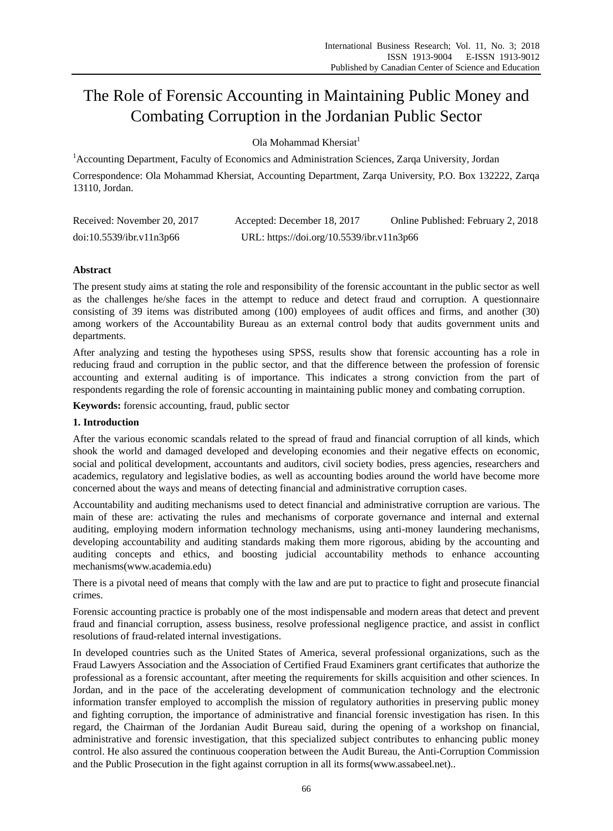# The Role of Forensic Accounting in Maintaining Public Money and Combating Corruption in the Jordanian Public Sector

 $O<sub>l</sub>$ a Mohammad Khersiat<sup>1</sup>

<sup>1</sup>Accounting Department, Faculty of Economics and Administration Sciences, Zarqa University, Jordan Correspondence: Ola Mohammad Khersiat, Accounting Department, Zarqa University, P.O. Box 132222, Zarqa 13110, Jordan.

| Received: November 20, 2017 | Accepted: December 18, 2017               | Online Published: February 2, 2018 |
|-----------------------------|-------------------------------------------|------------------------------------|
| doi:10.5539/ibr.v11n3p66    | URL: https://doi.org/10.5539/ibr.v11n3p66 |                                    |

## **Abstract**

The present study aims at stating the role and responsibility of the forensic accountant in the public sector as well as the challenges he/she faces in the attempt to reduce and detect fraud and corruption. A questionnaire consisting of 39 items was distributed among (100) employees of audit offices and firms, and another (30) among workers of the Accountability Bureau as an external control body that audits government units and departments.

After analyzing and testing the hypotheses using SPSS, results show that forensic accounting has a role in reducing fraud and corruption in the public sector, and that the difference between the profession of forensic accounting and external auditing is of importance. This indicates a strong conviction from the part of respondents regarding the role of forensic accounting in maintaining public money and combating corruption.

**Keywords:** forensic accounting, fraud, public sector

# **1. Introduction**

After the various economic scandals related to the spread of fraud and financial corruption of all kinds, which shook the world and damaged developed and developing economies and their negative effects on economic, social and political development, accountants and auditors, civil society bodies, press agencies, researchers and academics, regulatory and legislative bodies, as well as accounting bodies around the world have become more concerned about the ways and means of detecting financial and administrative corruption cases.

Accountability and auditing mechanisms used to detect financial and administrative corruption are various. The main of these are: activating the rules and mechanisms of corporate governance and internal and external auditing, employing modern information technology mechanisms, using anti-money laundering mechanisms, developing accountability and auditing standards making them more rigorous, abiding by the accounting and auditing concepts and ethics, and boosting judicial accountability methods to enhance accounting mechanisms(www.academia.edu)

There is a pivotal need of means that comply with the law and are put to practice to fight and prosecute financial crimes.

Forensic accounting practice is probably one of the most indispensable and modern areas that detect and prevent fraud and financial corruption, assess business, resolve professional negligence practice, and assist in conflict resolutions of fraud-related internal investigations.

In developed countries such as the United States of America, several professional organizations, such as the Fraud Lawyers Association and the Association of Certified Fraud Examiners grant certificates that authorize the professional as a forensic accountant, after meeting the requirements for skills acquisition and other sciences. In Jordan, and in the pace of the accelerating development of communication technology and the electronic information transfer employed to accomplish the mission of regulatory authorities in preserving public money and fighting corruption, the importance of administrative and financial forensic investigation has risen. In this regard, the Chairman of the Jordanian Audit Bureau said, during the opening of a workshop on financial, administrative and forensic investigation, that this specialized subject contributes to enhancing public money control. He also assured the continuous cooperation between the Audit Bureau, the Anti-Corruption Commission and the Public Prosecution in the fight against corruption in all its forms(www.assabeel.net)..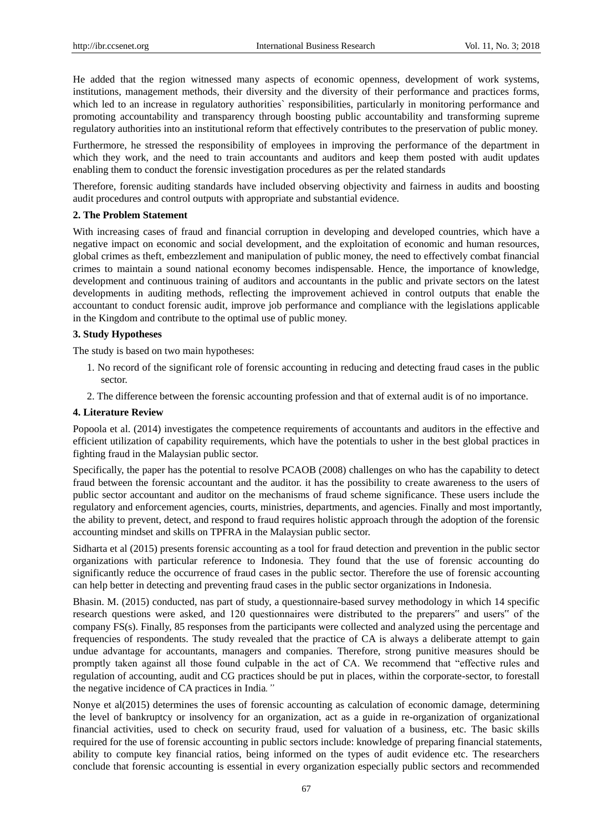He added that the region witnessed many aspects of economic openness, development of work systems, institutions, management methods, their diversity and the diversity of their performance and practices forms, which led to an increase in regulatory authorities` responsibilities, particularly in monitoring performance and promoting accountability and transparency through boosting public accountability and transforming supreme regulatory authorities into an institutional reform that effectively contributes to the preservation of public money.

Furthermore, he stressed the responsibility of employees in improving the performance of the department in which they work, and the need to train accountants and auditors and keep them posted with audit updates enabling them to conduct the forensic investigation procedures as per the related standards

Therefore, forensic auditing standards have included observing objectivity and fairness in audits and boosting audit procedures and control outputs with appropriate and substantial evidence.

#### **2. The Problem Statement**

With increasing cases of fraud and financial corruption in developing and developed countries, which have a negative impact on economic and social development, and the exploitation of economic and human resources, global crimes as theft, embezzlement and manipulation of public money, the need to effectively combat financial crimes to maintain a sound national economy becomes indispensable. Hence, the importance of knowledge, development and continuous training of auditors and accountants in the public and private sectors on the latest developments in auditing methods, reflecting the improvement achieved in control outputs that enable the accountant to conduct forensic audit, improve job performance and compliance with the legislations applicable in the Kingdom and contribute to the optimal use of public money.

#### **3. Study Hypotheses**

The study is based on two main hypotheses:

- 1. No record of the significant role of forensic accounting in reducing and detecting fraud cases in the public sector.
- 2. The difference between the forensic accounting profession and that of external audit is of no importance.

#### **4. Literature Review**

Popoola et al. (2014) investigates the competence requirements of accountants and auditors in the effective and efficient utilization of capability requirements, which have the potentials to usher in the best global practices in fighting fraud in the Malaysian public sector.

Specifically, the paper has the potential to resolve PCAOB (2008) challenges on who has the capability to detect fraud between the forensic accountant and the auditor. it has the possibility to create awareness to the users of public sector accountant and auditor on the mechanisms of fraud scheme significance. These users include the regulatory and enforcement agencies, courts, ministries, departments, and agencies. Finally and most importantly, the ability to prevent, detect, and respond to fraud requires holistic approach through the adoption of the forensic accounting mindset and skills on TPFRA in the Malaysian public sector.

Sidharta et al (2015) presents forensic accounting as a tool for fraud detection and prevention in the public sector organizations with particular reference to Indonesia. They found that the use of forensic accounting do significantly reduce the occurrence of fraud cases in the public sector. Therefore the use of forensic accounting can help better in detecting and preventing fraud cases in the public sector organizations in Indonesia.

Bhasin. M. (2015) conducted, nas part of study, a questionnaire-based survey methodology in which 14 specific research questions were asked, and 120 questionnaires were distributed to the preparers" and users" of the company FS(s). Finally, 85 responses from the participants were collected and analyzed using the percentage and frequencies of respondents. The study revealed that the practice of CA is always a deliberate attempt to gain undue advantage for accountants, managers and companies. Therefore, strong punitive measures should be promptly taken against all those found culpable in the act of CA. We recommend that "effective rules and regulation of accounting, audit and CG practices should be put in places, within the corporate-sector, to forestall the negative incidence of CA practices in India*."* 

Nonye et al(2015) determines the uses of forensic accounting as calculation of economic damage, determining the level of bankruptcy or insolvency for an organization, act as a guide in re-organization of organizational financial activities, used to check on security fraud, used for valuation of a business, etc. The basic skills required for the use of forensic accounting in public sectors include: knowledge of preparing financial statements, ability to compute key financial ratios, being informed on the types of audit evidence etc. The researchers conclude that forensic accounting is essential in every organization especially public sectors and recommended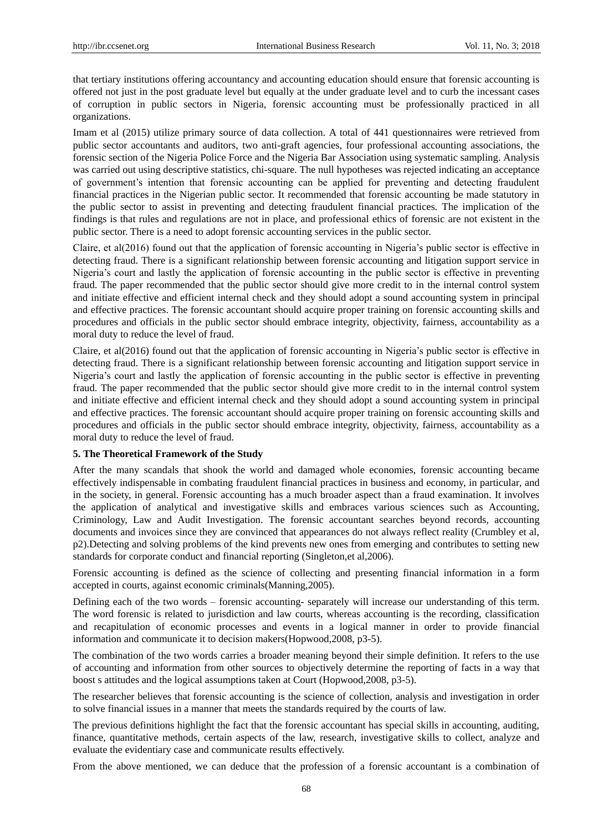that tertiary institutions offering accountancy and accounting education should ensure that forensic accounting is offered not just in the post graduate level but equally at the under graduate level and to curb the incessant cases of corruption in public sectors in Nigeria, forensic accounting must be professionally practiced in all organizations.

Imam et al (2015) utilize primary source of data collection. A total of 441 questionnaires were retrieved from public sector accountants and auditors, two anti-graft agencies, four professional accounting associations, the forensic section of the Nigeria Police Force and the Nigeria Bar Association using systematic sampling. Analysis was carried out using descriptive statistics, chi-square. The null hypotheses was rejected indicating an acceptance of government's intention that forensic accounting can be applied for preventing and detecting fraudulent financial practices in the Nigerian public sector. It recommended that forensic accounting be made statutory in the public sector to assist in preventing and detecting fraudulent financial practices. The implication of the findings is that rules and regulations are not in place, and professional ethics of forensic are not existent in the public sector. There is a need to adopt forensic accounting services in the public sector.

Claire, et al(2016) found out that the application of forensic accounting in Nigeria's public sector is effective in detecting fraud. There is a significant relationship between forensic accounting and litigation support service in Nigeria's court and lastly the application of forensic accounting in the public sector is effective in preventing fraud. The paper recommended that the public sector should give more credit to in the internal control system and initiate effective and efficient internal check and they should adopt a sound accounting system in principal and effective practices. The forensic accountant should acquire proper training on forensic accounting skills and procedures and officials in the public sector should embrace integrity, objectivity, fairness, accountability as a moral duty to reduce the level of fraud.

Claire, et al(2016) found out that the application of forensic accounting in Nigeria's public sector is effective in detecting fraud. There is a significant relationship between forensic accounting and litigation support service in Nigeria's court and lastly the application of forensic accounting in the public sector is effective in preventing fraud. The paper recommended that the public sector should give more credit to in the internal control system and initiate effective and efficient internal check and they should adopt a sound accounting system in principal and effective practices. The forensic accountant should acquire proper training on forensic accounting skills and procedures and officials in the public sector should embrace integrity, objectivity, fairness, accountability as a moral duty to reduce the level of fraud.

#### **5. The Theoretical Framework of the Study**

After the many scandals that shook the world and damaged whole economies, forensic accounting became effectively indispensable in combating fraudulent financial practices in business and economy, in particular, and in the society, in general. Forensic accounting has a much broader aspect than a fraud examination. It involves the application of analytical and investigative skills and embraces various sciences such as Accounting, Criminology, Law and Audit Investigation. The forensic accountant searches beyond records, accounting documents and invoices since they are convinced that appearances do not always reflect reality (Crumbley et al, p2).Detecting and solving problems of the kind prevents new ones from emerging and contributes to setting new standards for corporate conduct and financial reporting (Singleton,et al,2006).

Forensic accounting is defined as the science of collecting and presenting financial information in a form accepted in courts, against economic criminals(Manning,2005).

Defining each of the two words – forensic accounting- separately will increase our understanding of this term. The word forensic is related to jurisdiction and law courts, whereas accounting is the recording, classification and recapitulation of economic processes and events in a logical manner in order to provide financial information and communicate it to decision makers(Hopwood,2008, p3-5).

The combination of the two words carries a broader meaning beyond their simple definition. It refers to the use of accounting and information from other sources to objectively determine the reporting of facts in a way that boost s attitudes and the logical assumptions taken at Court (Hopwood,2008, p3-5).

The researcher believes that forensic accounting is the science of collection, analysis and investigation in order to solve financial issues in a manner that meets the standards required by the courts of law.

The previous definitions highlight the fact that the forensic accountant has special skills in accounting, auditing, finance, quantitative methods, certain aspects of the law, research, investigative skills to collect, analyze and evaluate the evidentiary case and communicate results effectively.

From the above mentioned, we can deduce that the profession of a forensic accountant is a combination of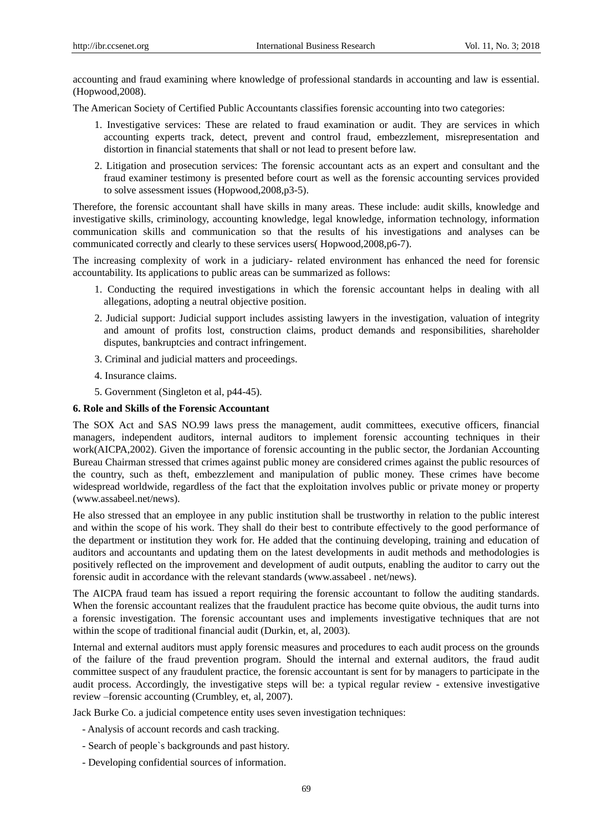accounting and fraud examining where knowledge of professional standards in accounting and law is essential. (Hopwood,2008).

The American Society of Certified Public Accountants classifies forensic accounting into two categories:

- 1. Investigative services: These are related to fraud examination or audit. They are services in which accounting experts track, detect, prevent and control fraud, embezzlement, misrepresentation and distortion in financial statements that shall or not lead to present before law.
- 2. Litigation and prosecution services: The forensic accountant acts as an expert and consultant and the fraud examiner testimony is presented before court as well as the forensic accounting services provided to solve assessment issues (Hopwood,2008,p3-5).

Therefore, the forensic accountant shall have skills in many areas. These include: audit skills, knowledge and investigative skills, criminology, accounting knowledge, legal knowledge, information technology, information communication skills and communication so that the results of his investigations and analyses can be communicated correctly and clearly to these services users( Hopwood,2008,p6-7).

The increasing complexity of work in a judiciary- related environment has enhanced the need for forensic accountability. Its applications to public areas can be summarized as follows:

- 1. Conducting the required investigations in which the forensic accountant helps in dealing with all allegations, adopting a neutral objective position.
- 2. Judicial support: Judicial support includes assisting lawyers in the investigation, valuation of integrity and amount of profits lost, construction claims, product demands and responsibilities, shareholder disputes, bankruptcies and contract infringement.
- 3. Criminal and judicial matters and proceedings.
- 4. Insurance claims.
- 5. Government (Singleton et al, p44-45).

## **6. Role and Skills of the Forensic Accountant**

The SOX Act and SAS NO.99 laws press the management, audit committees, executive officers, financial managers, independent auditors, internal auditors to implement forensic accounting techniques in their work(AICPA,2002). Given the importance of forensic accounting in the public sector, the Jordanian Accounting Bureau Chairman stressed that crimes against public money are considered crimes against the public resources of the country, such as theft, embezzlement and manipulation of public money. These crimes have become widespread worldwide, regardless of the fact that the exploitation involves public or private money or property (www.assabeel.net/news).

He also stressed that an employee in any public institution shall be trustworthy in relation to the public interest and within the scope of his work. They shall do their best to contribute effectively to the good performance of the department or institution they work for. He added that the continuing developing, training and education of auditors and accountants and updating them on the latest developments in audit methods and methodologies is positively reflected on the improvement and development of audit outputs, enabling the auditor to carry out the forensic audit in accordance with the relevant standards (www.assabeel . net/news).

The AICPA fraud team has issued a report requiring the forensic accountant to follow the auditing standards. When the forensic accountant realizes that the fraudulent practice has become quite obvious, the audit turns into a forensic investigation. The forensic accountant uses and implements investigative techniques that are not within the scope of traditional financial audit (Durkin, et, al, 2003).

Internal and external auditors must apply forensic measures and procedures to each audit process on the grounds of the failure of the fraud prevention program. Should the internal and external auditors, the fraud audit committee suspect of any fraudulent practice, the forensic accountant is sent for by managers to participate in the audit process. Accordingly, the investigative steps will be: a typical regular review - extensive investigative review –forensic accounting (Crumbley, et, al, 2007).

Jack Burke Co. a judicial competence entity uses seven investigation techniques:

- Analysis of account records and cash tracking.
- Search of people`s backgrounds and past history.
- Developing confidential sources of information.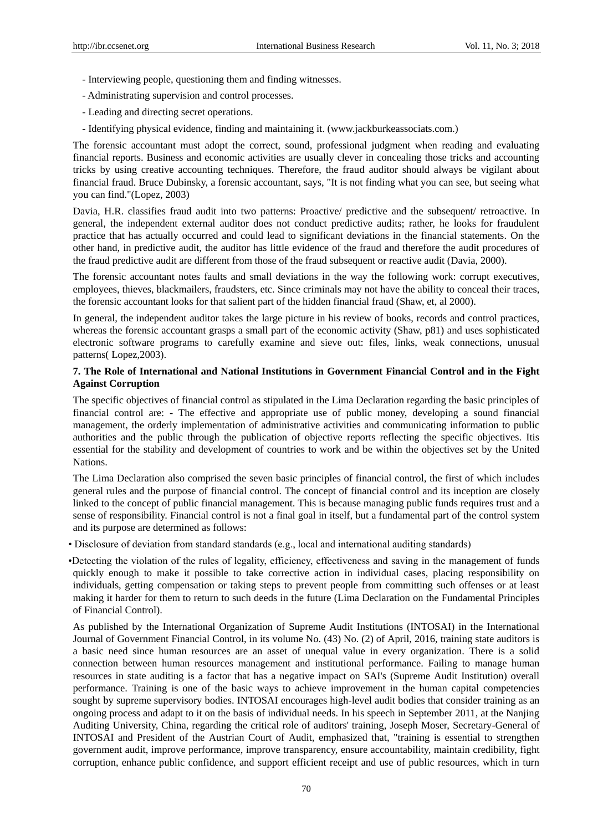- Interviewing people, questioning them and finding witnesses.
- Administrating supervision and control processes.
- Leading and directing secret operations.
- Identifying physical evidence, finding and maintaining it. (www.jackburkeassociats.com.)

The forensic accountant must adopt the correct, sound, professional judgment when reading and evaluating financial reports. Business and economic activities are usually clever in concealing those tricks and accounting tricks by using creative accounting techniques. Therefore, the fraud auditor should always be vigilant about financial fraud. Bruce Dubinsky, a forensic accountant, says, "It is not finding what you can see, but seeing what you can find."(Lopez, 2003)

Davia, H.R. classifies fraud audit into two patterns: Proactive/ predictive and the subsequent/ retroactive. In general, the independent external auditor does not conduct predictive audits; rather, he looks for fraudulent practice that has actually occurred and could lead to significant deviations in the financial statements. On the other hand, in predictive audit, the auditor has little evidence of the fraud and therefore the audit procedures of the fraud predictive audit are different from those of the fraud subsequent or reactive audit (Davia, 2000).

The forensic accountant notes faults and small deviations in the way the following work: corrupt executives, employees, thieves, blackmailers, fraudsters, etc. Since criminals may not have the ability to conceal their traces, the forensic accountant looks for that salient part of the hidden financial fraud (Shaw, et, al 2000).

In general, the independent auditor takes the large picture in his review of books, records and control practices, whereas the forensic accountant grasps a small part of the economic activity (Shaw, p81) and uses sophisticated electronic software programs to carefully examine and sieve out: files, links, weak connections, unusual patterns( Lopez,2003).

## **7. The Role of International and National Institutions in Government Financial Control and in the Fight Against Corruption**

The specific objectives of financial control as stipulated in the Lima Declaration regarding the basic principles of financial control are: - The effective and appropriate use of public money, developing a sound financial management, the orderly implementation of administrative activities and communicating information to public authorities and the public through the publication of objective reports reflecting the specific objectives. Itis essential for the stability and development of countries to work and be within the objectives set by the United Nations.

The Lima Declaration also comprised the seven basic principles of financial control, the first of which includes general rules and the purpose of financial control. The concept of financial control and its inception are closely linked to the concept of public financial management. This is because managing public funds requires trust and a sense of responsibility. Financial control is not a final goal in itself, but a fundamental part of the control system and its purpose are determined as follows:

• Disclosure of deviation from standard standards (e.g., local and international auditing standards)

•Detecting the violation of the rules of legality, efficiency, effectiveness and saving in the management of funds quickly enough to make it possible to take corrective action in individual cases, placing responsibility on individuals, getting compensation or taking steps to prevent people from committing such offenses or at least making it harder for them to return to such deeds in the future (Lima Declaration on the Fundamental Principles of Financial Control).

As published by the International Organization of Supreme Audit Institutions (INTOSAI) in the International Journal of Government Financial Control, in its volume No. (43) No. (2) of April, 2016, training state auditors is a basic need since human resources are an asset of unequal value in every organization. There is a solid connection between human resources management and institutional performance. Failing to manage human resources in state auditing is a factor that has a negative impact on SAI's (Supreme Audit Institution) overall performance. Training is one of the basic ways to achieve improvement in the human capital competencies sought by supreme supervisory bodies. INTOSAI encourages high-level audit bodies that consider training as an ongoing process and adapt to it on the basis of individual needs. In his speech in September 2011, at the Nanjing Auditing University, China, regarding the critical role of auditors' training, Joseph Moser, Secretary-General of INTOSAI and President of the Austrian Court of Audit, emphasized that, "training is essential to strengthen government audit, improve performance, improve transparency, ensure accountability, maintain credibility, fight corruption, enhance public confidence, and support efficient receipt and use of public resources, which in turn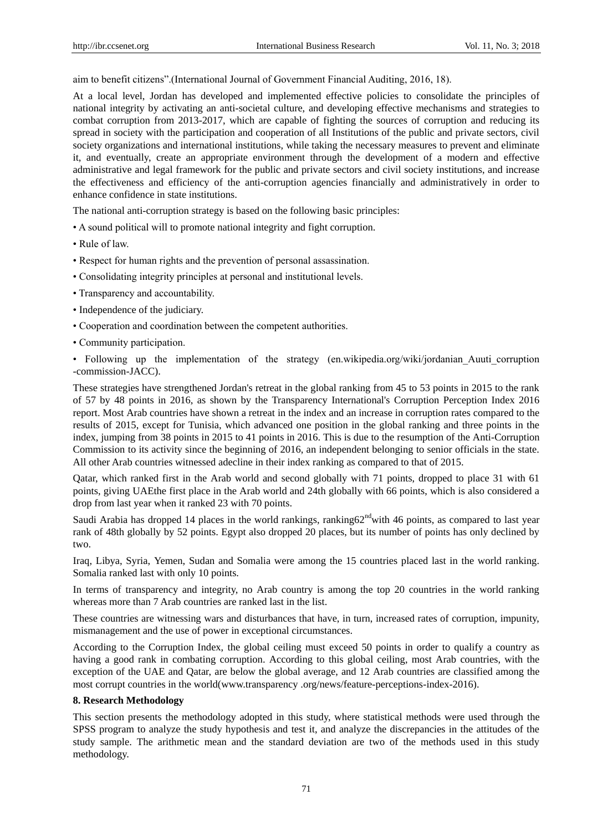aim to benefit citizens".(International Journal of Government Financial Auditing, 2016, 18).

At a local level, Jordan has developed and implemented effective policies to consolidate the principles of national integrity by activating an anti-societal culture, and developing effective mechanisms and strategies to combat corruption from 2013-2017, which are capable of fighting the sources of corruption and reducing its spread in society with the participation and cooperation of all Institutions of the public and private sectors, civil society organizations and international institutions, while taking the necessary measures to prevent and eliminate it, and eventually, create an appropriate environment through the development of a modern and effective administrative and legal framework for the public and private sectors and civil society institutions, and increase the effectiveness and efficiency of the anti-corruption agencies financially and administratively in order to enhance confidence in state institutions.

The national anti-corruption strategy is based on the following basic principles:

- A sound political will to promote national integrity and fight corruption.
- Rule of law.
- Respect for human rights and the prevention of personal assassination.
- Consolidating integrity principles at personal and institutional levels.
- Transparency and accountability.
- Independence of the judiciary.
- Cooperation and coordination between the competent authorities.
- Community participation.

• Following up the implementation of the strategy (en.wikipedia.org/wiki/jordanian Auuti corruption -commission-JACC).

These strategies have strengthened Jordan's retreat in the global ranking from 45 to 53 points in 2015 to the rank of 57 by 48 points in 2016, as shown by the Transparency International's Corruption Perception Index 2016 report. Most Arab countries have shown a retreat in the index and an increase in corruption rates compared to the results of 2015, except for Tunisia, which advanced one position in the global ranking and three points in the index, jumping from 38 points in 2015 to 41 points in 2016. This is due to the resumption of the Anti-Corruption Commission to its activity since the beginning of 2016, an independent belonging to senior officials in the state. All other Arab countries witnessed adecline in their index ranking as compared to that of 2015.

Qatar, which ranked first in the Arab world and second globally with 71 points, dropped to place 31 with 61 points, giving UAEthe first place in the Arab world and 24th globally with 66 points, which is also considered a drop from last year when it ranked 23 with 70 points.

Saudi Arabia has dropped 14 places in the world rankings, ranking $62<sup>nd</sup>$ with 46 points, as compared to last year rank of 48th globally by 52 points. Egypt also dropped 20 places, but its number of points has only declined by two.

Iraq, Libya, Syria, Yemen, Sudan and Somalia were among the 15 countries placed last in the world ranking. Somalia ranked last with only 10 points.

In terms of transparency and integrity, no Arab country is among the top 20 countries in the world ranking whereas more than 7 Arab countries are ranked last in the list.

These countries are witnessing wars and disturbances that have, in turn, increased rates of corruption, impunity, mismanagement and the use of power in exceptional circumstances.

According to the Corruption Index, the global ceiling must exceed 50 points in order to qualify a country as having a good rank in combating corruption. According to this global ceiling, most Arab countries, with the exception of the UAE and Qatar, are below the global average, and 12 Arab countries are classified among the most corrupt countries in the world(www.transparency .org/news/feature-perceptions-index-2016).

## **8. Research Methodology**

This section presents the methodology adopted in this study, where statistical methods were used through the SPSS program to analyze the study hypothesis and test it, and analyze the discrepancies in the attitudes of the study sample. The arithmetic mean and the standard deviation are two of the methods used in this study methodology.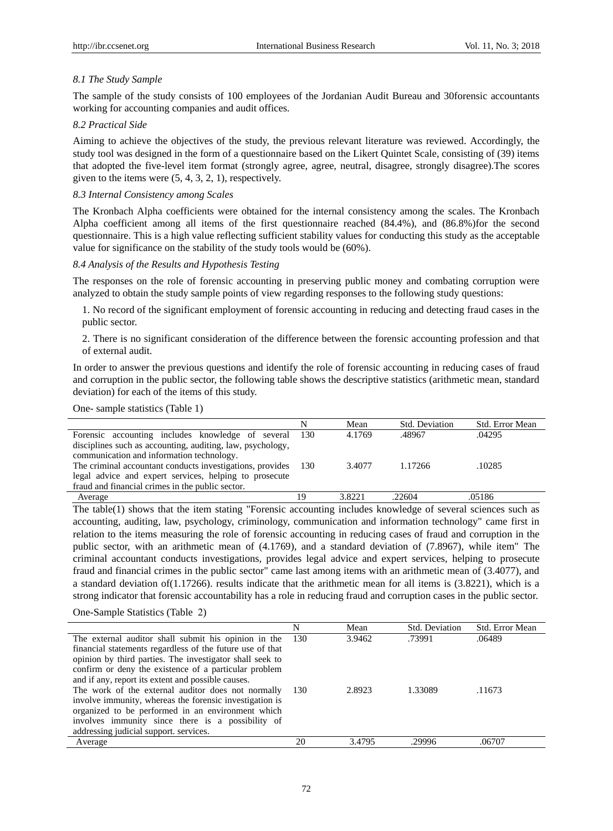## *8.1 The Study Sample*

The sample of the study consists of 100 employees of the Jordanian Audit Bureau and 30forensic accountants working for accounting companies and audit offices.

## *8.2 Practical Side*

Aiming to achieve the objectives of the study, the previous relevant literature was reviewed. Accordingly, the study tool was designed in the form of a questionnaire based on the Likert Quintet Scale, consisting of (39) items that adopted the five-level item format (strongly agree, agree, neutral, disagree, strongly disagree).The scores given to the items were (5, 4, 3, 2, 1), respectively.

#### *8.3 Internal Consistency among Scales*

The Kronbach Alpha coefficients were obtained for the internal consistency among the scales. The Kronbach Alpha coefficient among all items of the first questionnaire reached (84.4%), and (86.8%)for the second questionnaire. This is a high value reflecting sufficient stability values for conducting this study as the acceptable value for significance on the stability of the study tools would be (60%).

## *8.4 Analysis of the Results and Hypothesis Testing*

The responses on the role of forensic accounting in preserving public money and combating corruption were analyzed to obtain the study sample points of view regarding responses to the following study questions:

1. No record of the significant employment of forensic accounting in reducing and detecting fraud cases in the public sector.

2. There is no significant consideration of the difference between the forensic accounting profession and that of external audit.

In order to answer the previous questions and identify the role of forensic accounting in reducing cases of fraud and corruption in the public sector, the following table shows the descriptive statistics (arithmetic mean, standard deviation) for each of the items of this study.

One- sample statistics (Table 1)

|                                                            | N    | Mean   | Std. Deviation | Std. Error Mean |  |  |  |
|------------------------------------------------------------|------|--------|----------------|-----------------|--|--|--|
| Forensic accounting includes knowledge of several          | -130 | 4.1769 | .48967         | .04295          |  |  |  |
| disciplines such as accounting, auditing, law, psychology, |      |        |                |                 |  |  |  |
| communication and information technology.                  |      |        |                |                 |  |  |  |
| The criminal accountant conducts investigations, provides  | -130 | 3.4077 | 1.17266        | .10285          |  |  |  |
| legal advice and expert services, helping to prosecute     |      |        |                |                 |  |  |  |
| fraud and financial crimes in the public sector.           |      |        |                |                 |  |  |  |
| Average                                                    | 19   | 3.8221 | 22604          | .05186          |  |  |  |

The table(1) shows that the item stating "Forensic accounting includes knowledge of several sciences such as accounting, auditing, law, psychology, criminology, communication and information technology" came first in relation to the items measuring the role of forensic accounting in reducing cases of fraud and corruption in the public sector, with an arithmetic mean of (4.1769), and a standard deviation of (7.8967), while item" The criminal accountant conducts investigations, provides legal advice and expert services, helping to prosecute fraud and financial crimes in the public sector" came last among items with an arithmetic mean of (3.4077), and a standard deviation of(1.17266). results indicate that the arithmetic mean for all items is (3.8221), which is a strong indicator that forensic accountability has a role in reducing fraud and corruption cases in the public sector.

#### One-Sample Statistics (Table 2)

|                                                           | N    | Mean   | Std. Deviation | Std. Error Mean |
|-----------------------------------------------------------|------|--------|----------------|-----------------|
| The external auditor shall submit his opinion in the      | 130  | 3.9462 | .73991         | .06489          |
| financial statements regardless of the future use of that |      |        |                |                 |
| opinion by third parties. The investigator shall seek to  |      |        |                |                 |
| confirm or deny the existence of a particular problem     |      |        |                |                 |
| and if any, report its extent and possible causes.        |      |        |                |                 |
| The work of the external auditor does not normally        | -130 | 2.8923 | 1.33089        | .11673          |
| involve immunity, whereas the forensic investigation is   |      |        |                |                 |
| organized to be performed in an environment which         |      |        |                |                 |
| involves immunity since there is a possibility of         |      |        |                |                 |
| addressing judicial support, services.                    |      |        |                |                 |
| Average                                                   | 20   | 3.4795 | 29996          | .06707          |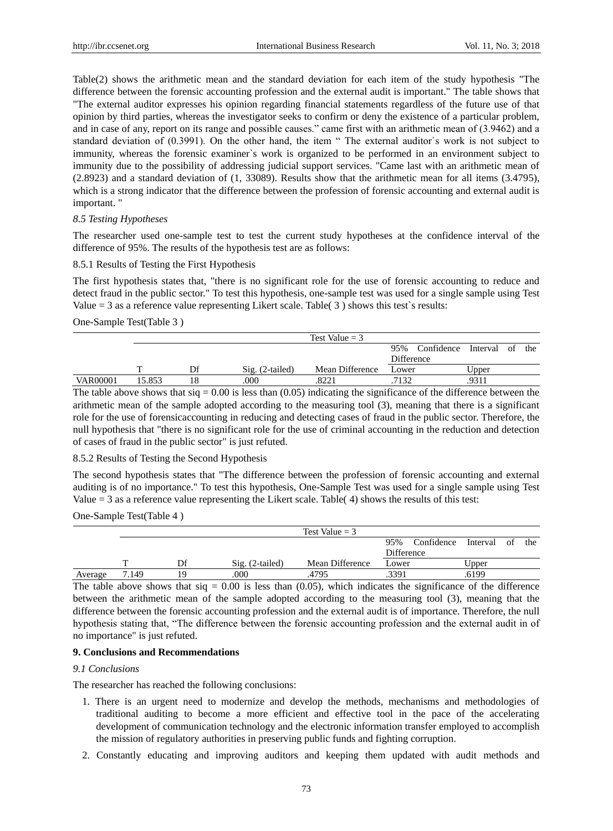Table(2) shows the arithmetic mean and the standard deviation for each item of the study hypothesis "The difference between the forensic accounting profession and the external audit is important." The table shows that "The external auditor expresses his opinion regarding financial statements regardless of the future use of that opinion by third parties, whereas the investigator seeks to confirm or deny the existence of a particular problem, and in case of any, report on its range and possible causes." came first with an arithmetic mean of (3.9462) and a standard deviation of (0.3991). On the other hand, the item " The external auditor`s work is not subject to immunity, whereas the forensic examiner`s work is organized to be performed in an environment subject to immunity due to the possibility of addressing judicial support services. "Came last with an arithmetic mean of (2.8923) and a standard deviation of (1, 33089). Results show that the arithmetic mean for all items (3.4795), which is a strong indicator that the difference between the profession of forensic accounting and external audit is important. "

#### *8.5 Testing Hypotheses*

The researcher used one-sample test to test the current study hypotheses at the confidence interval of the difference of 95%. The results of the hypothesis test are as follows:

#### 8.5.1 Results of Testing the First Hypothesis

The first hypothesis states that, "there is no significant role for the use of forensic accounting to reduce and detect fraud in the public sector." To test this hypothesis, one-sample test was used for a single sample using Test Value  $= 3$  as a reference value representing Likert scale. Table( $3$ ) shows this test's results:

#### One-Sample Test(Table 3 )

|                 | Test Value $=$ 3 |    |                            |                 |            |            |          |    |     |
|-----------------|------------------|----|----------------------------|-----------------|------------|------------|----------|----|-----|
|                 |                  |    |                            |                 | 95%        | Confidence | Interval | of | the |
|                 |                  |    |                            |                 | Difference |            |          |    |     |
|                 |                  | Df | $\mathrm{Sig.}$ (2-tailed) | Mean Difference | Lower      |            | Joper    |    |     |
| <b>VAR00001</b> | 15.853           |    | .000                       | .8221           | .7132      |            | .9311    |    |     |

The table above shows that  $sig = 0.00$  is less than  $(0.05)$  indicating the significance of the difference between the arithmetic mean of the sample adopted according to the measuring tool (3), meaning that there is a significant role for the use of forensicaccounting in reducing and detecting cases of fraud in the public sector. Therefore, the null hypothesis that "there is no significant role for the use of criminal accounting in the reduction and detection of cases of fraud in the public sector" is just refuted.

#### 8.5.2 Results of Testing the Second Hypothesis

The second hypothesis states that "The difference between the profession of forensic accounting and external auditing is of no importance." To test this hypothesis, One-Sample Test was used for a single sample using Test Value = 3 as a reference value representing the Likert scale. Table( 4) shows the results of this test:

#### One-Sample Test(Table 4 )

|         | Test Value $=$ 3 |    |                   |                 |            |            |          |    |     |  |
|---------|------------------|----|-------------------|-----------------|------------|------------|----------|----|-----|--|
|         |                  |    |                   |                 | 95%        | Confidence | Interval | of | the |  |
|         |                  |    |                   |                 | Difference |            |          |    |     |  |
|         | m                | Df | $Sig. (2-tailed)$ | Mean Difference | Lower      |            | Upper    |    |     |  |
| Average | 7.149            |    | .000              | .4795           | .3391      |            | .6199    |    |     |  |

The table above shows that  $sig = 0.00$  is less than (0.05), which indicates the significance of the difference between the arithmetic mean of the sample adopted according to the measuring tool (3), meaning that the difference between the forensic accounting profession and the external audit is of importance. Therefore, the null hypothesis stating that, "The difference between the forensic accounting profession and the external audit in of no importance" is just refuted.

## **9. Conclusions and Recommendations**

#### *9.1 Conclusions*

The researcher has reached the following conclusions:

- 1. There is an urgent need to modernize and develop the methods, mechanisms and methodologies of traditional auditing to become a more efficient and effective tool in the pace of the accelerating development of communication technology and the electronic information transfer employed to accomplish the mission of regulatory authorities in preserving public funds and fighting corruption.
- 2. Constantly educating and improving auditors and keeping them updated with audit methods and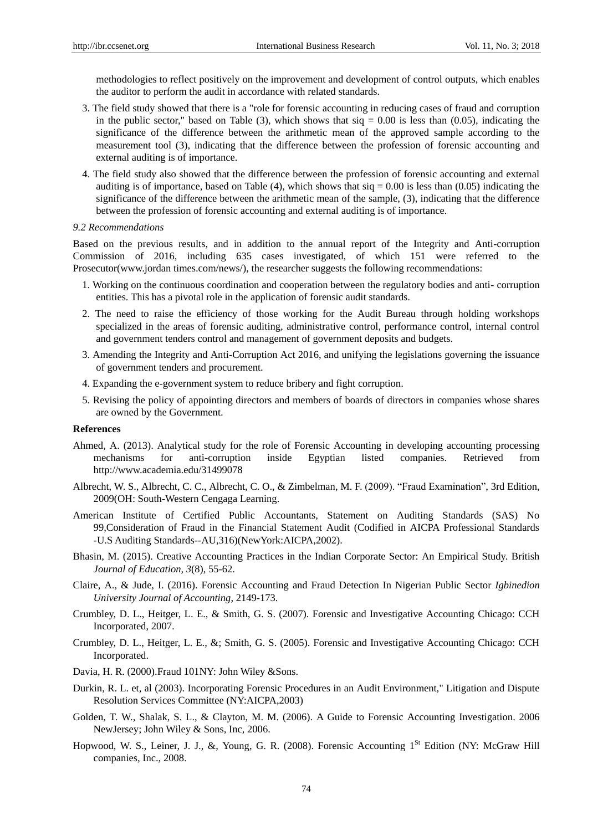methodologies to reflect positively on the improvement and development of control outputs, which enables the auditor to perform the audit in accordance with related standards.

- 3. The field study showed that there is a "role for forensic accounting in reducing cases of fraud and corruption in the public sector," based on Table (3), which shows that  $sig = 0.00$  is less than (0.05), indicating the significance of the difference between the arithmetic mean of the approved sample according to the measurement tool (3), indicating that the difference between the profession of forensic accounting and external auditing is of importance.
- 4. The field study also showed that the difference between the profession of forensic accounting and external auditing is of importance, based on Table  $(4)$ , which shows that siq = 0.00 is less than (0.05) indicating the significance of the difference between the arithmetic mean of the sample, (3), indicating that the difference between the profession of forensic accounting and external auditing is of importance.

#### *9.2 Recommendations*

Based on the previous results, and in addition to the annual report of the Integrity and Anti-corruption Commission of 2016, including 635 cases investigated, of which 151 were referred to the Prosecutor(www.jordan times.com/news/), the researcher suggests the following recommendations:

- 1. Working on the continuous coordination and cooperation between the regulatory bodies and anti- corruption entities. This has a pivotal role in the application of forensic audit standards.
- 2. The need to raise the efficiency of those working for the Audit Bureau through holding workshops specialized in the areas of forensic auditing, administrative control, performance control, internal control and government tenders control and management of government deposits and budgets.
- 3. Amending the Integrity and Anti-Corruption Act 2016, and unifying the legislations governing the issuance of government tenders and procurement.
- 4. Expanding the e-government system to reduce bribery and fight corruption.
- 5. Revising the policy of appointing directors and members of boards of directors in companies whose shares are owned by the Government.

#### **References**

- Ahmed, A. (2013). Analytical study for the role of Forensic Accounting in developing accounting processing mechanisms for anti-corruption inside Egyptian listed companies. Retrieved from http://www.academia.edu/31499078
- Albrecht, W. S., Albrecht, C. C., Albrecht, C. O., & Zimbelman, M. F. (2009). "Fraud Examination", 3rd Edition, 2009(OH: South-Western Cengaga Learning.
- American Institute of Certified Public Accountants, Statement on Auditing Standards (SAS) No 99,Consideration of Fraud in the Financial Statement Audit (Codified in AICPA Professional Standards -U.S Auditing Standards--AU,316)(NewYork:AICPA,2002).
- Bhasin, M. (2015). Creative Accounting Practices in the Indian Corporate Sector: An Empirical Study. British *Journal of Education, 3*(8), 55-62.
- Claire, A., & Jude, I. (2016). Forensic Accounting and Fraud Detection In Nigerian Public Sector *Igbinedion University Journal of Accounting*, 2149-173.
- Crumbley, D. L., Heitger, L. E., & Smith, G. S. (2007). Forensic and Investigative Accounting Chicago: CCH Incorporated, 2007.
- Crumbley, D. L., Heitger, L. E., &; Smith, G. S. (2005). Forensic and Investigative Accounting Chicago: CCH Incorporated.
- Davia, H. R. (2000).Fraud 101NY: John Wiley &Sons.
- Durkin, R. L. et, al (2003). Incorporating Forensic Procedures in an Audit Environment," Litigation and Dispute Resolution Services Committee (NY:AICPA,2003)
- Golden, T. W., Shalak, S. L., & Clayton, M. M. (2006). A Guide to Forensic Accounting Investigation. 2006 NewJersey; John Wiley & Sons, Inc, 2006.
- Hopwood, W. S., Leiner, J. J., &, Young, G. R. (2008). Forensic Accounting 1<sup>St</sup> Edition (NY: McGraw Hill companies, Inc., 2008.